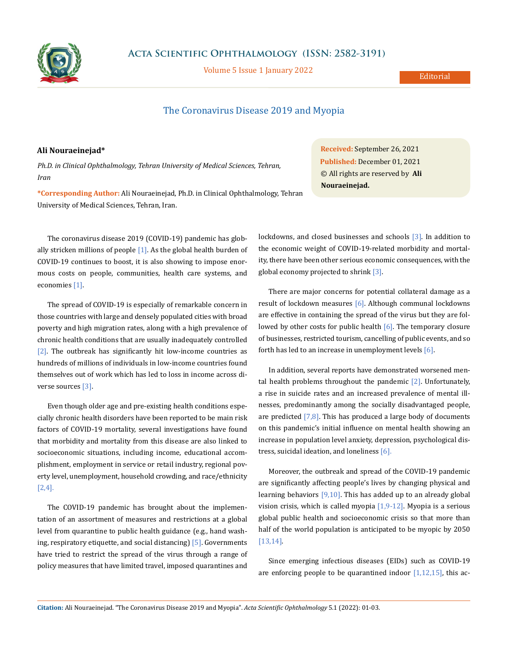

**Acta Scientific Ophthalmology (ISSN: 2582-3191)**

Volume 5 Issue 1 January 2022

Editorial

## The Coronavirus Disease 2019 and Myopia

## **Ali Nouraeinejad\***

*Ph.D. in Clinical Ophthalmology, Tehran University of Medical Sciences, Tehran, Iran*

**\*Corresponding Author:** Ali Nouraeinejad, Ph.D. in Clinical Ophthalmology, Tehran University of Medical Sciences, Tehran, Iran.

The coronavirus disease 2019 (COVID-19) pandemic has globally stricken millions of people  $[1]$ . As the global health burden of COVID-19 continues to boost, it is also showing to impose enormous costs on people, communities, health care systems, and economies [1].

The spread of COVID-19 is especially of remarkable concern in those countries with large and densely populated cities with broad poverty and high migration rates, along with a high prevalence of chronic health conditions that are usually inadequately controlled [2]. The outbreak has significantly hit low-income countries as hundreds of millions of individuals in low-income countries found themselves out of work which has led to loss in income across diverse sources [3].

Even though older age and pre-existing health conditions especially chronic health disorders have been reported to be main risk factors of COVID-19 mortality, several investigations have found that morbidity and mortality from this disease are also linked to socioeconomic situations, including income, educational accomplishment, employment in service or retail industry, regional poverty level, unemployment, household crowding, and race/ethnicity [2,4].

The COVID-19 pandemic has brought about the implementation of an assortment of measures and restrictions at a global level from quarantine to public health guidance (e.g., hand washing, respiratory etiquette, and social distancing) [5]. Governments have tried to restrict the spread of the virus through a range of policy measures that have limited travel, imposed quarantines and

**Received:** September 26, 2021 **Published:** December 01, 2021 © All rights are reserved by **Ali Nouraeinejad.**

lockdowns, and closed businesses and schools [3]. In addition to the economic weight of COVID-19-related morbidity and mortality, there have been other serious economic consequences, with the global economy projected to shrink [3].

There are major concerns for potential collateral damage as a result of lockdown measures [6]. Although communal lockdowns are effective in containing the spread of the virus but they are followed by other costs for public health  $[6]$ . The temporary closure of businesses, restricted tourism, cancelling of public events, and so forth has led to an increase in unemployment levels [6].

In addition, several reports have demonstrated worsened mental health problems throughout the pandemic  $[2]$ . Unfortunately, a rise in suicide rates and an increased prevalence of mental illnesses, predominantly among the socially disadvantaged people, are predicted  $[7,8]$ . This has produced a large body of documents on this pandemic's initial influence on mental health showing an increase in population level anxiety, depression, psychological distress, suicidal ideation, and loneliness  $[6]$ .

Moreover, the outbreak and spread of the COVID-19 pandemic are significantly affecting people's lives by changing physical and learning behaviors  $[9,10]$ . This has added up to an already global vision crisis, which is called myopia  $[1,9-12]$ . Myopia is a serious global public health and socioeconomic crisis so that more than half of the world population is anticipated to be myopic by 2050 [13,14].

Since emerging infectious diseases (EIDs) such as COVID-19 are enforcing people to be quarantined indoor  $[1,12,15]$ , this ac-

**Citation:** Ali Nouraeinejad*.* "The Coronavirus Disease 2019 and Myopia". *Acta Scientific Ophthalmology* 5.1 (2022): 01-03.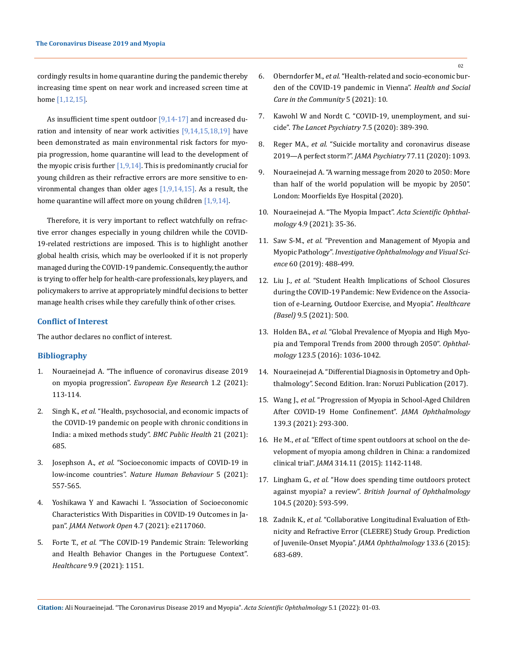cordingly results in home quarantine during the pandemic thereby increasing time spent on near work and increased screen time at home [1,12,15].

As insufficient time spent outdoor  $[9,14-17]$  and increased duration and intensity of near work activities  $[9,14,15,18,19]$  have been demonstrated as main environmental risk factors for myopia progression, home quarantine will lead to the development of the myopic crisis further  $[1,9,14]$ . This is predominantly crucial for young children as their refractive errors are more sensitive to environmental changes than older ages  $[1,9,14,15]$ . As a result, the home quarantine will affect more on young children  $[1,9,14]$ .

Therefore, it is very important to reflect watchfully on refractive error changes especially in young children while the COVID-19-related restrictions are imposed. This is to highlight another global health crisis, which may be overlooked if it is not properly managed during the COVID-19 pandemic. Consequently, the author is trying to offer help for health-care professionals, key players, and policymakers to arrive at appropriately mindful decisions to better manage health crises while they carefully think of other crises.

## **Conflict of Interest**

The author declares no conflict of interest.

## **Bibliography**

- 1. Nouraeinejad A. "The influence of coronavirus disease 2019 on myopia progression". *European Eye Research* 1.2 (2021): 113-114.
- 2. Singh K., *et al.* ["Health, psychosocial, and economic impacts of](https://bmcpublichealth.biomedcentral.com/articles/10.1186/s12889-021-10708-w)  [the COVID-19 pandemic on people with chronic conditions in](https://bmcpublichealth.biomedcentral.com/articles/10.1186/s12889-021-10708-w)  [India: a mixed methods study".](https://bmcpublichealth.biomedcentral.com/articles/10.1186/s12889-021-10708-w) *BMC Public Health* 21 (2021): [685.](https://bmcpublichealth.biomedcentral.com/articles/10.1186/s12889-021-10708-w)
- 3. Josephson A., *et al.* ["Socioeconomic impacts of COVID-19 in](https://www.nature.com/articles/s41562-021-01096-7)  low-income countries". *[Nature Human Behaviour](https://www.nature.com/articles/s41562-021-01096-7)* 5 (2021): [557-565.](https://www.nature.com/articles/s41562-021-01096-7)
- 4. [Yoshikawa Y and Kawachi I. "Association of Socioeconomic](https://jamanetwork.com/journals/jamanetworkopen/fullarticle/2781935)  [Characteristics With Disparities in COVID-19 Outcomes in Ja](https://jamanetwork.com/journals/jamanetworkopen/fullarticle/2781935)pan". *[JAMA Network Open](https://jamanetwork.com/journals/jamanetworkopen/fullarticle/2781935)* 4.7 (2021): e2117060.
- 5. Forte T., *et al.* ["The COVID-19 Pandemic Strain: Teleworking](https://pubmed.ncbi.nlm.nih.gov/34574925/)  [and Health Behavior Changes in the Portuguese Context".](https://pubmed.ncbi.nlm.nih.gov/34574925/)  *Healthcare* [9.9 \(2021\): 1151.](https://pubmed.ncbi.nlm.nih.gov/34574925/)
- 6. Oberndorfer M., *et al.* ["Health-related and socio-economic bur](https://pubmed.ncbi.nlm.nih.gov/34219320/)[den of the COVID-19 pandemic in Vienna".](https://pubmed.ncbi.nlm.nih.gov/34219320/) *Health and Social [Care in the Community](https://pubmed.ncbi.nlm.nih.gov/34219320/)* 5 (2021): 10.
- 7. [Kawohl W and Nordt C. "COVID-19, unemployment, and sui](https://www.thelancet.com/journals/lanpsy/article/PIIS2215-0366(20)30141-3/fulltext)cide". *[The Lancet Psychiatry](https://www.thelancet.com/journals/lanpsy/article/PIIS2215-0366(20)30141-3/fulltext)* 7.5 (2020): 389-390.
- 8. Reger MA., *et al.* ["Suicide mortality and coronavirus disease](https://jamanetwork.com/journals/jamapsychiatry/fullarticle/2764584) [2019—A perfect storm?".](https://jamanetwork.com/journals/jamapsychiatry/fullarticle/2764584) *JAMA Psychiatry* 77.11 (2020): 1093.
- 9. Nouraeinejad A. "A warning message from 2020 to 2050: More than half of the world population will be myopic by 2050". London: Moorfields Eye Hospital (2020).
- 10. [Nouraeinejad A. "The Myopia Impact".](https://actascientific.com/ASOP/pdf/ASOP-04-0375.pdf) *Acta Scientific Ophthalmology* [4.9 \(2021\): 35-36.](https://actascientific.com/ASOP/pdf/ASOP-04-0375.pdf)
- 11. Saw S-M., *et al.* ["Prevention and Management of Myopia and](https://iovs.arvojournals.org/article.aspx?articleid=2723705) Myopic Pathology". *[Investigative Ophthalmology and Visual Sci](https://iovs.arvojournals.org/article.aspx?articleid=2723705)ence* [60 \(2019\): 488-499.](https://iovs.arvojournals.org/article.aspx?articleid=2723705)
- 12. Liu J., *et al.* "Student Health Implications of School Closures during the COVID-19 Pandemic: New Evidence on the Association of e-Learning, Outdoor Exercise, and Myopia". *Healthcare (Basel)* 9.5 (2021): 500.
- 13. Holden BA., *et al.* ["Global Prevalence of Myopia and High Myo](https://www.aaojournal.org/article/s0161-6420(16)00025-7/fulltext)[pia and Temporal Trends from 2000 through 2050".](https://www.aaojournal.org/article/s0161-6420(16)00025-7/fulltext) *Ophthalmology* [123.5 \(2016\): 1036-1042.](https://www.aaojournal.org/article/s0161-6420(16)00025-7/fulltext)
- 14. Nouraeinejad A. "Differential Diagnosis in Optometry and Ophthalmology". Second Edition. Iran: Noruzi Publication (2017).
- 15. Wang J., *et al.* ["Progression of Myopia in School-Aged Children](https://jamanetwork.com/journals/jamaophthalmology/fullarticle/2774808) [After COVID-19 Home Confinement".](https://jamanetwork.com/journals/jamaophthalmology/fullarticle/2774808) *JAMA Ophthalmology* [139.3 \(2021\): 293-300.](https://jamanetwork.com/journals/jamaophthalmology/fullarticle/2774808)
- 16. He M., *et al.* ["Effect of time spent outdoors at school on the de](https://jamanetwork.com/journals/jama/fullarticle/2441261)[velopment of myopia among children in China: a randomized](https://jamanetwork.com/journals/jama/fullarticle/2441261) clinical trial". *JAMA* [314.11 \(2015\): 1142-1148.](https://jamanetwork.com/journals/jama/fullarticle/2441261)
- 17. Lingham G., *et al.* ["How does spending time outdoors protect](https://pubmed.ncbi.nlm.nih.gov/31722876/) against myopia? a review". *[British Journal of Ophthalmology](https://pubmed.ncbi.nlm.nih.gov/31722876/)* [104.5 \(2020\): 593-599.](https://pubmed.ncbi.nlm.nih.gov/31722876/)
- 18. Zadnik K., *et al.* ["Collaborative Longitudinal Evaluation of Eth](https://pubmed.ncbi.nlm.nih.gov/25837970/)[nicity and Refractive Error \(CLEERE\) Study Group. Prediction](https://pubmed.ncbi.nlm.nih.gov/25837970/) [of Juvenile-Onset Myopia".](https://pubmed.ncbi.nlm.nih.gov/25837970/) *JAMA Ophthalmology* 133.6 (2015): [683-689.](https://pubmed.ncbi.nlm.nih.gov/25837970/)

**Citation:** Ali Nouraeinejad*.* "The Coronavirus Disease 2019 and Myopia". *Acta Scientific Ophthalmology* 5.1 (2022): 01-03.